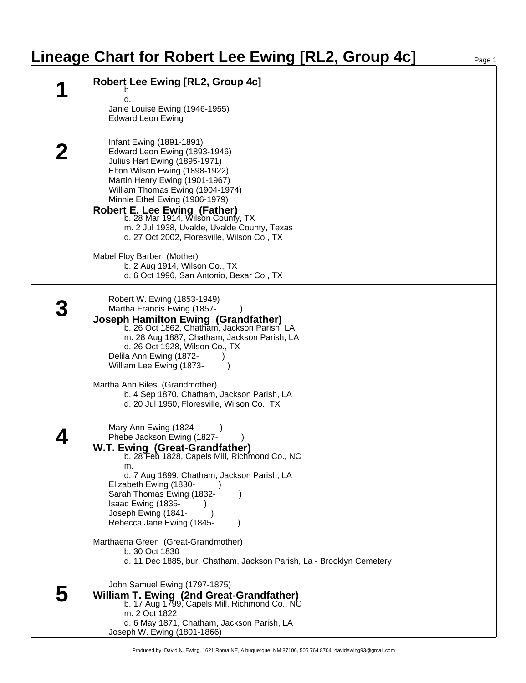## **Lineage Chart for Robert Lee Ewing [RL2, Group 4c]**

| <b>Robert Lee Ewing [RL2, Group 4c]</b><br>b.<br>d.                                                                                                                                                                                                                                                                                                                                                            |
|----------------------------------------------------------------------------------------------------------------------------------------------------------------------------------------------------------------------------------------------------------------------------------------------------------------------------------------------------------------------------------------------------------------|
| Janie Louise Ewing (1946-1955)<br><b>Edward Leon Ewing</b>                                                                                                                                                                                                                                                                                                                                                     |
| Infant Ewing (1891-1891)<br>Edward Leon Ewing (1893-1946)<br>Julius Hart Ewing (1895-1971)<br>Elton Wilson Ewing (1898-1922)<br>Martin Henry Ewing (1901-1967)<br>William Thomas Ewing (1904-1974)<br>Minnie Ethel Ewing (1906-1979)<br><b>Robert E. Lee Ewing (Father)</b><br>b. 28 Mar 1914, Wilson County, TX<br>m. 2 Jul 1938, Uvalde, Uvalde County, Texas<br>d. 27 Oct 2002, Floresville, Wilson Co., TX |
| Mabel Floy Barber (Mother)<br>b. 2 Aug 1914, Wilson Co., TX<br>d. 6 Oct 1996, San Antonio, Bexar Co., TX                                                                                                                                                                                                                                                                                                       |
| Robert W. Ewing (1853-1949)<br>Martha Francis Ewing (1857-<br><b>Joseph Hamilton Ewing (Grandfather)</b><br>b. 26 Oct 1862, Chatham, Jackson Parish, LA<br>m. 28 Aug 1887, Chatham, Jackson Parish, LA<br>d. 26 Oct 1928, Wilson Co., TX<br>Delila Ann Ewing (1872-<br>William Lee Ewing (1873-                                                                                                                |
| Martha Ann Biles (Grandmother)<br>b. 4 Sep 1870, Chatham, Jackson Parish, LA<br>d. 20 Jul 1950, Floresville, Wilson Co., TX                                                                                                                                                                                                                                                                                    |
| Mary Ann Ewing (1824-<br>Phebe Jackson Ewing (1827-<br>W.T. Ewing (Great-Grandfather)<br>b. 28 Feb 1828, Capels Mill, Richmond Co., NC<br>m.<br>d. 7 Aug 1899, Chatham, Jackson Parish, LA<br>Elizabeth Ewing (1830-<br>Sarah Thomas Ewing (1832-<br>Isaac Ewing (1835-<br>Joseph Ewing (1841-<br>Rebecca Jane Ewing (1845-                                                                                    |
| Marthaena Green (Great-Grandmother)<br>b. 30 Oct 1830<br>d. 11 Dec 1885, bur. Chatham, Jackson Parish, La - Brooklyn Cemetery                                                                                                                                                                                                                                                                                  |
| John Samuel Ewing (1797-1875)<br>William T. Ewing (2nd Great-Grandfather)<br>b. 17 Aug 1799, Capels Mill, Richmond Co., NC<br>m. 2 Oct 1822<br>d. 6 May 1871, Chatham, Jackson Parish, LA<br>Joseph W. Ewing (1801-1866)                                                                                                                                                                                       |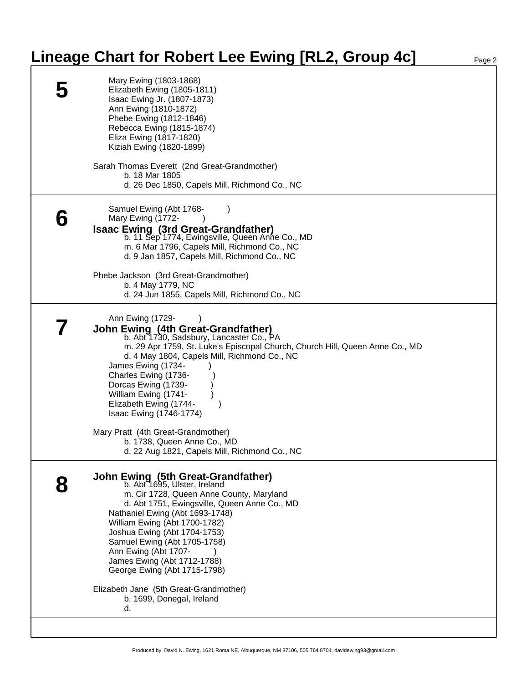## **Lineage Chart for Robert Lee Ewing [RL2, Group 4c]**

|   | Mary Ewing (1803-1868)<br>Elizabeth Ewing (1805-1811)<br>Isaac Ewing Jr. (1807-1873)<br>Ann Ewing (1810-1872)<br>Phebe Ewing (1812-1846)<br>Rebecca Ewing (1815-1874)<br>Eliza Ewing (1817-1820)<br>Kiziah Ewing (1820-1899)<br>Sarah Thomas Everett (2nd Great-Grandmother)<br>b. 18 Mar 1805<br>d. 26 Dec 1850, Capels Mill, Richmond Co., NC                                           |
|---|-------------------------------------------------------------------------------------------------------------------------------------------------------------------------------------------------------------------------------------------------------------------------------------------------------------------------------------------------------------------------------------------|
| 6 | Samuel Ewing (Abt 1768-<br>Mary Ewing (1772-<br><b>Isaac Ewing (3rd Great-Grandfather)</b><br>b. 11 Sep 1774, Ewingsville, Queen Anne Co., MD<br>m. 6 Mar 1796, Capels Mill, Richmond Co., NC<br>d. 9 Jan 1857, Capels Mill, Richmond Co., NC<br>Phebe Jackson (3rd Great-Grandmother)                                                                                                    |
|   | b. 4 May 1779, NC<br>d. 24 Jun 1855, Capels Mill, Richmond Co., NC                                                                                                                                                                                                                                                                                                                        |
|   | Ann Ewing (1729-<br>John Ewing (4th Great-Grandfather)<br>b. Abt 1730, Sadsbury, Lancaster Co., PA<br>m. 29 Apr 1759, St. Luke's Episcopal Church, Church Hill, Queen Anne Co., MD<br>d. 4 May 1804, Capels Mill, Richmond Co., NC<br>James Ewing (1734-<br>Charles Ewing (1736-<br>Dorcas Ewing (1739-<br>William Ewing (1741-<br>Elizabeth Ewing (1744-<br>Isaac Ewing (1746-1774)      |
|   | Mary Pratt (4th Great-Grandmother)<br>b. 1738, Queen Anne Co., MD<br>d. 22 Aug 1821, Capels Mill, Richmond Co., NC                                                                                                                                                                                                                                                                        |
|   | John Ewing (5th Great-Grandfather)<br>b. Abt 1695, Ulster, Ireland<br>m. Cir 1728, Queen Anne County, Maryland<br>d. Abt 1751, Ewingsville, Queen Anne Co., MD<br>Nathaniel Ewing (Abt 1693-1748)<br>William Ewing (Abt 1700-1782)<br>Joshua Ewing (Abt 1704-1753)<br>Samuel Ewing (Abt 1705-1758)<br>Ann Ewing (Abt 1707-<br>James Ewing (Abt 1712-1788)<br>George Ewing (Abt 1715-1798) |
|   | Elizabeth Jane (5th Great-Grandmother)<br>b. 1699, Donegal, Ireland<br>d.                                                                                                                                                                                                                                                                                                                 |
|   |                                                                                                                                                                                                                                                                                                                                                                                           |